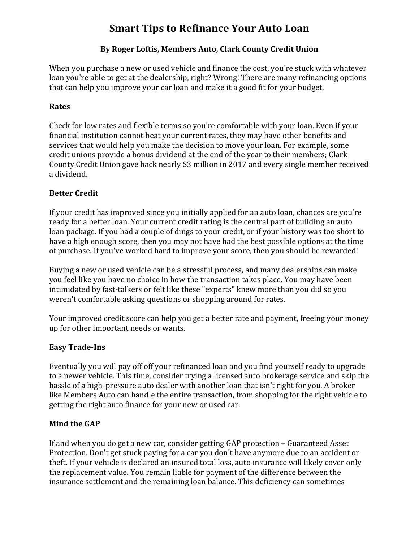# **Smart Tips to Refinance Your Auto Loan**

# By Roger Loftis, Members Auto, Clark County Credit Union

When you purchase a new or used vehicle and finance the cost, you're stuck with whatever loan you're able to get at the dealership, right? Wrong! There are many refinancing options that can help you improve your car loan and make it a good fit for your budget.

## **Rates**

Check for low rates and flexible terms so you're comfortable with your loan. Even if your financial institution cannot beat your current rates, they may have other benefits and services that would help you make the decision to move your loan. For example, some credit unions provide a bonus dividend at the end of the year to their members; Clark County Credit Union gave back nearly \$3 million in 2017 and every single member received a dividend. 

## **Better Credit**

If your credit has improved since you initially applied for an auto loan, chances are you're ready for a better loan. Your current credit rating is the central part of building an auto loan package. If you had a couple of dings to your credit, or if your history was too short to have a high enough score, then you may not have had the best possible options at the time of purchase. If you've worked hard to improve your score, then you should be rewarded!

Buying a new or used vehicle can be a stressful process, and many dealerships can make you feel like you have no choice in how the transaction takes place. You may have been intimidated by fast-talkers or felt like these "experts" knew more than you did so you weren't comfortable asking questions or shopping around for rates.

Your improved credit score can help you get a better rate and payment, freeing your money up for other important needs or wants.

#### **Easy Trade-Ins**

Eventually you will pay off off your refinanced loan and you find yourself ready to upgrade to a newer vehicle. This time, consider trying a licensed auto brokerage service and skip the hassle of a high-pressure auto dealer with another loan that isn't right for you. A broker like Members Auto can handle the entire transaction, from shopping for the right vehicle to getting the right auto finance for your new or used car.

#### **Mind the GAP**

If and when you do get a new car, consider getting GAP protection - Guaranteed Asset Protection. Don't get stuck paying for a car you don't have anymore due to an accident or theft. If your vehicle is declared an insured total loss, auto insurance will likely cover only the replacement value. You remain liable for payment of the difference between the insurance settlement and the remaining loan balance. This deficiency can sometimes